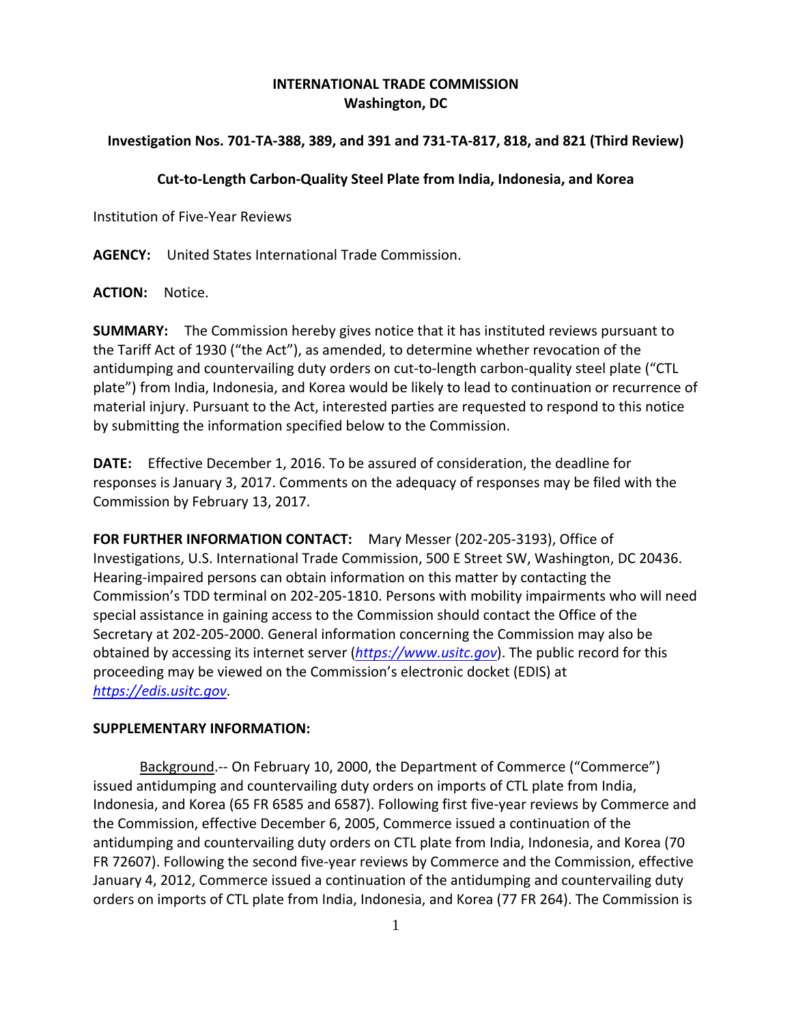## **INTERNATIONAL TRADE COMMISSION Washington, DC**

## Investigation Nos. 701-TA-388, 389, and 391 and 731-TA-817, 818, and 821 (Third Review)

## **Cut‐to‐Length Carbon‐Quality Steel Plate from India, Indonesia, and Korea**

Institution of Five‐Year Reviews

**AGENCY:** United States International Trade Commission.

**ACTION:** Notice.

**SUMMARY:** The Commission hereby gives notice that it has instituted reviews pursuant to the Tariff Act of 1930 ("the Act"), as amended, to determine whether revocation of the antidumping and countervailing duty orders on cut-to-length carbon-quality steel plate ("CTL plate") from India, Indonesia, and Korea would be likely to lead to continuation or recurrence of material injury. Pursuant to the Act, interested parties are requested to respond to this notice by submitting the information specified below to the Commission.

**DATE:** Effective December 1, 2016. To be assured of consideration, the deadline for responses is January 3, 2017. Comments on the adequacy of responses may be filed with the Commission by February 13, 2017.

**FOR FURTHER INFORMATION CONTACT:** Mary Messer (202‐205‐3193), Office of Investigations, U.S. International Trade Commission, 500 E Street SW, Washington, DC 20436. Hearing‐impaired persons can obtain information on this matter by contacting the Commission's TDD terminal on 202‐205‐1810. Persons with mobility impairments who will need special assistance in gaining access to the Commission should contact the Office of the Secretary at 202‐205‐2000. General information concerning the Commission may also be obtained by accessing its internet server (*https://www.usitc.gov*). The public record for this proceeding may be viewed on the Commission's electronic docket (EDIS) at *https://edis.usitc.gov*.

## **SUPPLEMENTARY INFORMATION:**

Background.-- On February 10, 2000, the Department of Commerce ("Commerce") issued antidumping and countervailing duty orders on imports of CTL plate from India, Indonesia, and Korea (65 FR 6585 and 6587). Following first five‐year reviews by Commerce and the Commission, effective December 6, 2005, Commerce issued a continuation of the antidumping and countervailing duty orders on CTL plate from India, Indonesia, and Korea (70 FR 72607). Following the second five‐year reviews by Commerce and the Commission, effective January 4, 2012, Commerce issued a continuation of the antidumping and countervailing duty orders on imports of CTL plate from India, Indonesia, and Korea (77 FR 264). The Commission is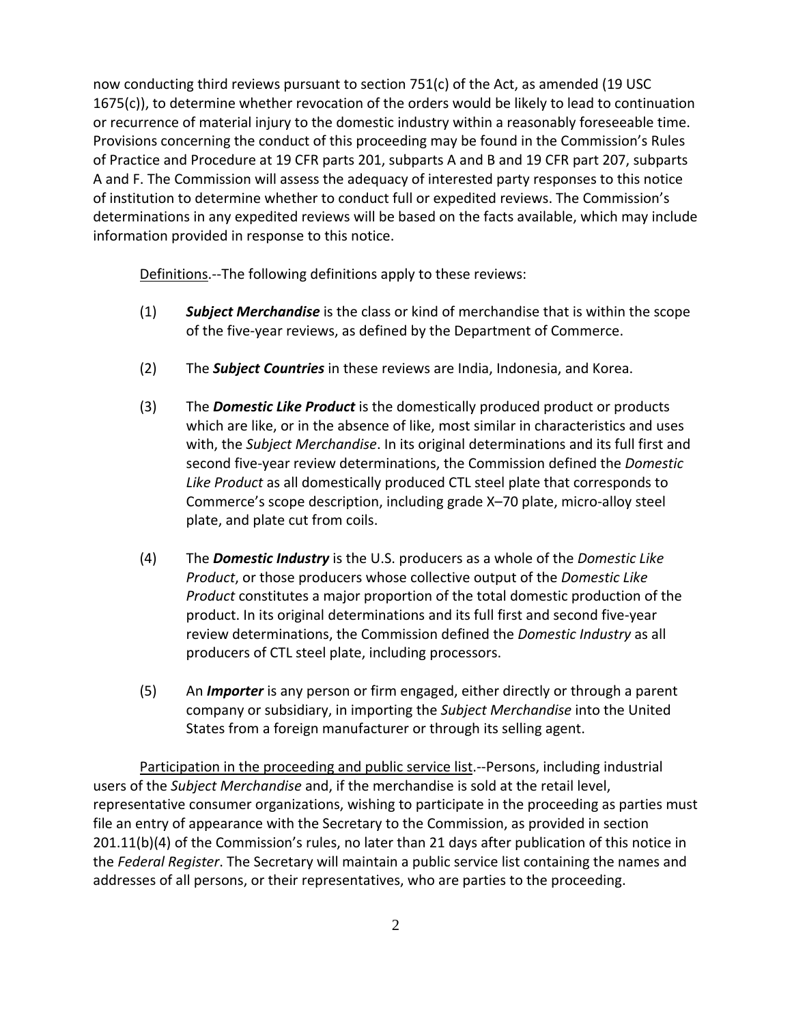now conducting third reviews pursuant to section 751(c) of the Act, as amended (19 USC 1675(c)), to determine whether revocation of the orders would be likely to lead to continuation or recurrence of material injury to the domestic industry within a reasonably foreseeable time. Provisions concerning the conduct of this proceeding may be found in the Commission's Rules of Practice and Procedure at 19 CFR parts 201, subparts A and B and 19 CFR part 207, subparts A and F. The Commission will assess the adequacy of interested party responses to this notice of institution to determine whether to conduct full or expedited reviews. The Commission's determinations in any expedited reviews will be based on the facts available, which may include information provided in response to this notice.

Definitions. -- The following definitions apply to these reviews:

- (1) *Subject Merchandise* is the class or kind of merchandise that is within the scope of the five‐year reviews, as defined by the Department of Commerce.
- (2) The *Subject Countries* in these reviews are India, Indonesia, and Korea.
- (3) The *Domestic Like Product* is the domestically produced product or products which are like, or in the absence of like, most similar in characteristics and uses with, the *Subject Merchandise*. In its original determinations and its full first and second five‐year review determinations, the Commission defined the *Domestic Like Product* as all domestically produced CTL steel plate that corresponds to Commerce's scope description, including grade X–70 plate, micro‐alloy steel plate, and plate cut from coils.
- (4) The *Domestic Industry* is the U.S. producers as a whole of the *Domestic Like Product*, or those producers whose collective output of the *Domestic Like Product* constitutes a major proportion of the total domestic production of the product. In its original determinations and its full first and second five‐year review determinations, the Commission defined the *Domestic Industry* as all producers of CTL steel plate, including processors.
- (5) An *Importer* is any person or firm engaged, either directly or through a parent company or subsidiary, in importing the *Subject Merchandise* into the United States from a foreign manufacturer or through its selling agent.

Participation in the proceeding and public service list.‐‐Persons, including industrial users of the *Subject Merchandise* and, if the merchandise is sold at the retail level, representative consumer organizations, wishing to participate in the proceeding as parties must file an entry of appearance with the Secretary to the Commission, as provided in section 201.11(b)(4) of the Commission's rules, no later than 21 days after publication of this notice in the *Federal Register*. The Secretary will maintain a public service list containing the names and addresses of all persons, or their representatives, who are parties to the proceeding.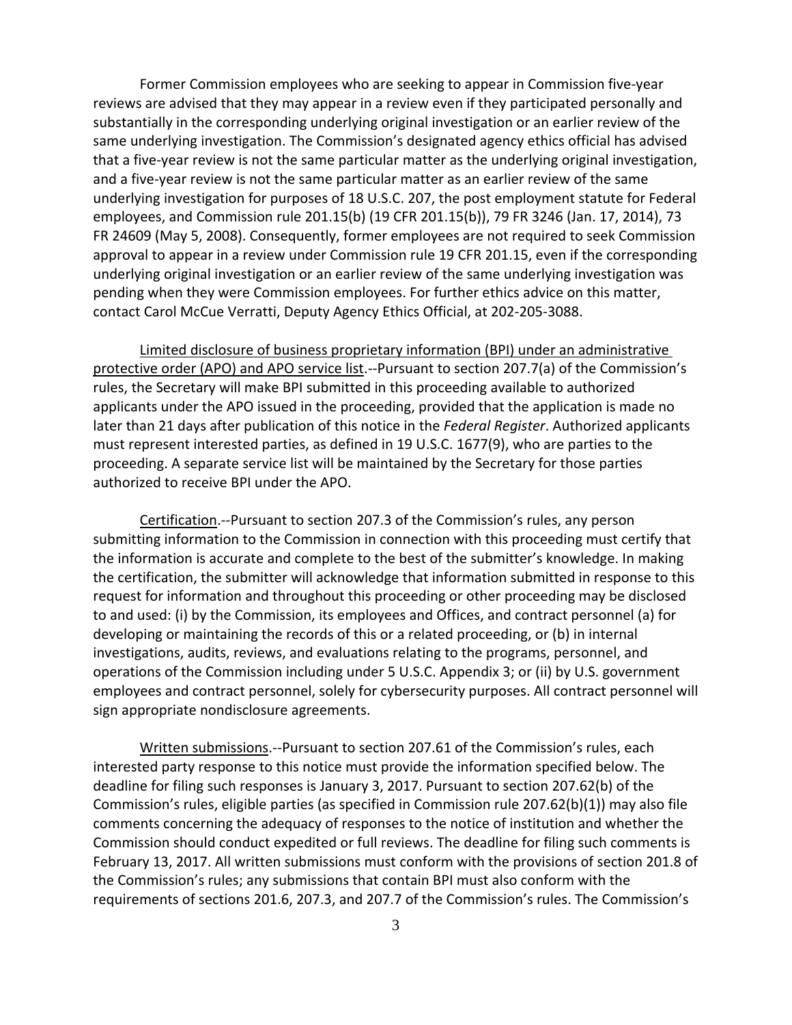Former Commission employees who are seeking to appear in Commission five‐year reviews are advised that they may appear in a review even if they participated personally and substantially in the corresponding underlying original investigation or an earlier review of the same underlying investigation. The Commission's designated agency ethics official has advised that a five‐year review is not the same particular matter as the underlying original investigation, and a five‐year review is not the same particular matter as an earlier review of the same underlying investigation for purposes of 18 U.S.C. 207, the post employment statute for Federal employees, and Commission rule 201.15(b) (19 CFR 201.15(b)), 79 FR 3246 (Jan. 17, 2014), 73 FR 24609 (May 5, 2008). Consequently, former employees are not required to seek Commission approval to appear in a review under Commission rule 19 CFR 201.15, even if the corresponding underlying original investigation or an earlier review of the same underlying investigation was pending when they were Commission employees. For further ethics advice on this matter, contact Carol McCue Verratti, Deputy Agency Ethics Official, at 202‐205‐3088.

Limited disclosure of business proprietary information (BPI) under an administrative protective order (APO) and APO service list.‐‐Pursuant to section 207.7(a) of the Commission's rules, the Secretary will make BPI submitted in this proceeding available to authorized applicants under the APO issued in the proceeding, provided that the application is made no later than 21 days after publication of this notice in the *Federal Register*. Authorized applicants must represent interested parties, as defined in 19 U.S.C. 1677(9), who are parties to the proceeding. A separate service list will be maintained by the Secretary for those parties authorized to receive BPI under the APO.

Certification.‐‐Pursuant to section 207.3 of the Commission's rules, any person submitting information to the Commission in connection with this proceeding must certify that the information is accurate and complete to the best of the submitter's knowledge. In making the certification, the submitter will acknowledge that information submitted in response to this request for information and throughout this proceeding or other proceeding may be disclosed to and used: (i) by the Commission, its employees and Offices, and contract personnel (a) for developing or maintaining the records of this or a related proceeding, or (b) in internal investigations, audits, reviews, and evaluations relating to the programs, personnel, and operations of the Commission including under 5 U.S.C. Appendix 3; or (ii) by U.S. government employees and contract personnel, solely for cybersecurity purposes. All contract personnel will sign appropriate nondisclosure agreements.

Written submissions.‐‐Pursuant to section 207.61 of the Commission's rules, each interested party response to this notice must provide the information specified below. The deadline for filing such responses is January 3, 2017. Pursuant to section 207.62(b) of the Commission's rules, eligible parties (as specified in Commission rule 207.62(b)(1)) may also file comments concerning the adequacy of responses to the notice of institution and whether the Commission should conduct expedited or full reviews. The deadline for filing such comments is February 13, 2017. All written submissions must conform with the provisions of section 201.8 of the Commission's rules; any submissions that contain BPI must also conform with the requirements of sections 201.6, 207.3, and 207.7 of the Commission's rules. The Commission's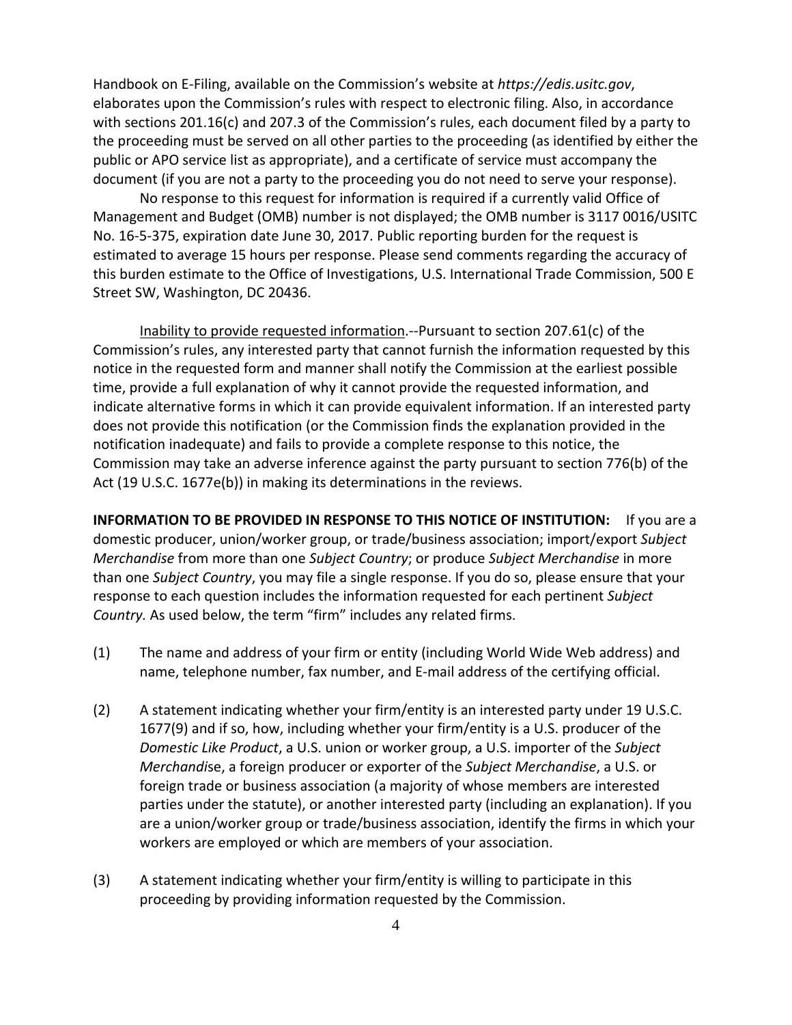Handbook on E‐Filing, available on the Commission's website at *https://edis.usitc.gov*, elaborates upon the Commission's rules with respect to electronic filing. Also, in accordance with sections 201.16(c) and 207.3 of the Commission's rules, each document filed by a party to the proceeding must be served on all other parties to the proceeding (as identified by either the public or APO service list as appropriate), and a certificate of service must accompany the document (if you are not a party to the proceeding you do not need to serve your response).

No response to this request for information is required if a currently valid Office of Management and Budget (OMB) number is not displayed; the OMB number is 3117 0016/USITC No. 16‐5‐375, expiration date June 30, 2017. Public reporting burden for the request is estimated to average 15 hours per response. Please send comments regarding the accuracy of this burden estimate to the Office of Investigations, U.S. International Trade Commission, 500 E Street SW, Washington, DC 20436.

Inability to provide requested information.‐‐Pursuant to section 207.61(c) of the Commission's rules, any interested party that cannot furnish the information requested by this notice in the requested form and manner shall notify the Commission at the earliest possible time, provide a full explanation of why it cannot provide the requested information, and indicate alternative forms in which it can provide equivalent information. If an interested party does not provide this notification (or the Commission finds the explanation provided in the notification inadequate) and fails to provide a complete response to this notice, the Commission may take an adverse inference against the party pursuant to section 776(b) of the Act (19 U.S.C. 1677e(b)) in making its determinations in the reviews.

**INFORMATION TO BE PROVIDED IN RESPONSE TO THIS NOTICE OF INSTITUTION:** If you are a domestic producer, union/worker group, or trade/business association; import/export *Subject Merchandise* from more than one *Subject Country*; or produce *Subject Merchandise* in more than one *Subject Country*, you may file a single response. If you do so, please ensure that your response to each question includes the information requested for each pertinent *Subject Country.* As used below, the term "firm" includes any related firms.

- (1) The name and address of your firm or entity (including World Wide Web address) and name, telephone number, fax number, and E‐mail address of the certifying official.
- (2) A statement indicating whether your firm/entity is an interested party under 19 U.S.C. 1677(9) and if so, how, including whether your firm/entity is a U.S. producer of the *Domestic Like Product*, a U.S. union or worker group, a U.S. importer of the *Subject Merchandi*se, a foreign producer or exporter of the *Subject Merchandise*, a U.S. or foreign trade or business association (a majority of whose members are interested parties under the statute), or another interested party (including an explanation). If you are a union/worker group or trade/business association, identify the firms in which your workers are employed or which are members of your association.
- (3) A statement indicating whether your firm/entity is willing to participate in this proceeding by providing information requested by the Commission.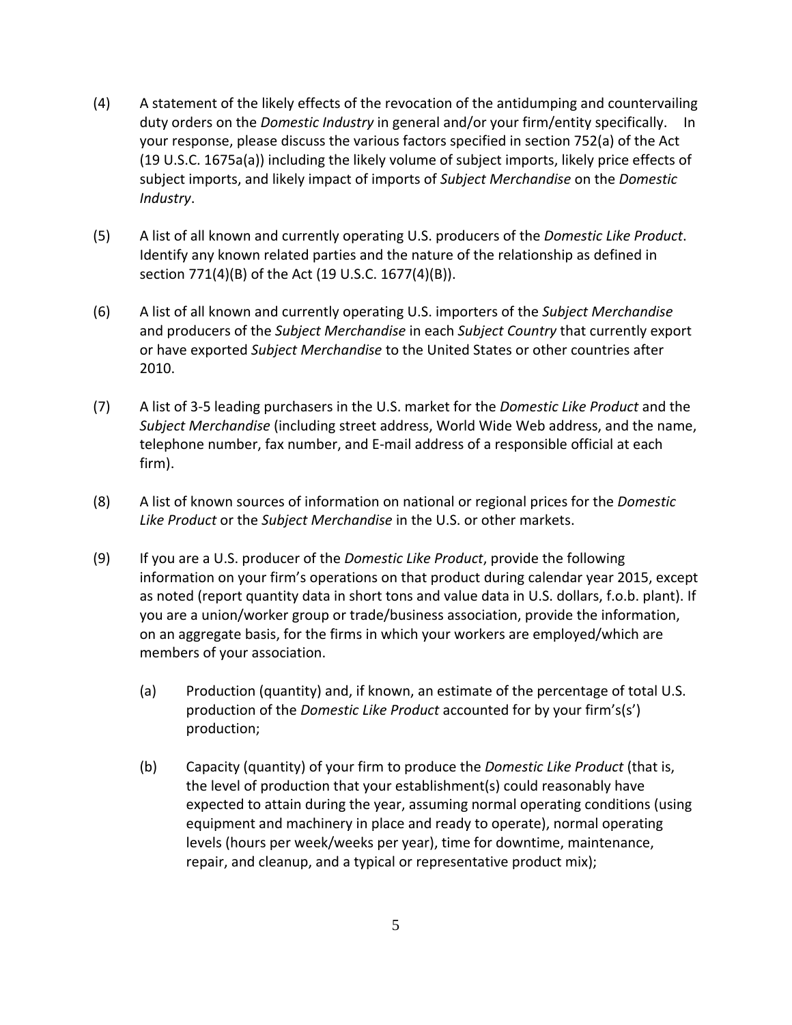- (4) A statement of the likely effects of the revocation of the antidumping and countervailing duty orders on the *Domestic Industry* in general and/or your firm/entity specifically. In your response, please discuss the various factors specified in section 752(a) of the Act (19 U.S.C. 1675a(a)) including the likely volume of subject imports, likely price effects of subject imports, and likely impact of imports of *Subject Merchandise* on the *Domestic Industry*.
- (5) A list of all known and currently operating U.S. producers of the *Domestic Like Product*. Identify any known related parties and the nature of the relationship as defined in section 771(4)(B) of the Act (19 U.S.C. 1677(4)(B)).
- (6) A list of all known and currently operating U.S. importers of the *Subject Merchandise* and producers of the *Subject Merchandise* in each *Subject Country* that currently export or have exported *Subject Merchandise* to the United States or other countries after 2010.
- (7) A list of 3‐5 leading purchasers in the U.S. market for the *Domestic Like Product* and the *Subject Merchandise* (including street address, World Wide Web address, and the name, telephone number, fax number, and E‐mail address of a responsible official at each firm).
- (8) A list of known sources of information on national or regional prices for the *Domestic Like Product* or the *Subject Merchandise* in the U.S. or other markets.
- (9) If you are a U.S. producer of the *Domestic Like Product*, provide the following information on your firm's operations on that product during calendar year 2015, except as noted (report quantity data in short tons and value data in U.S. dollars, f.o.b. plant). If you are a union/worker group or trade/business association, provide the information, on an aggregate basis, for the firms in which your workers are employed/which are members of your association.
	- (a) Production (quantity) and, if known, an estimate of the percentage of total U.S. production of the *Domestic Like Product* accounted for by your firm's(s') production;
	- (b) Capacity (quantity) of your firm to produce the *Domestic Like Product* (that is, the level of production that your establishment(s) could reasonably have expected to attain during the year, assuming normal operating conditions (using equipment and machinery in place and ready to operate), normal operating levels (hours per week/weeks per year), time for downtime, maintenance, repair, and cleanup, and a typical or representative product mix);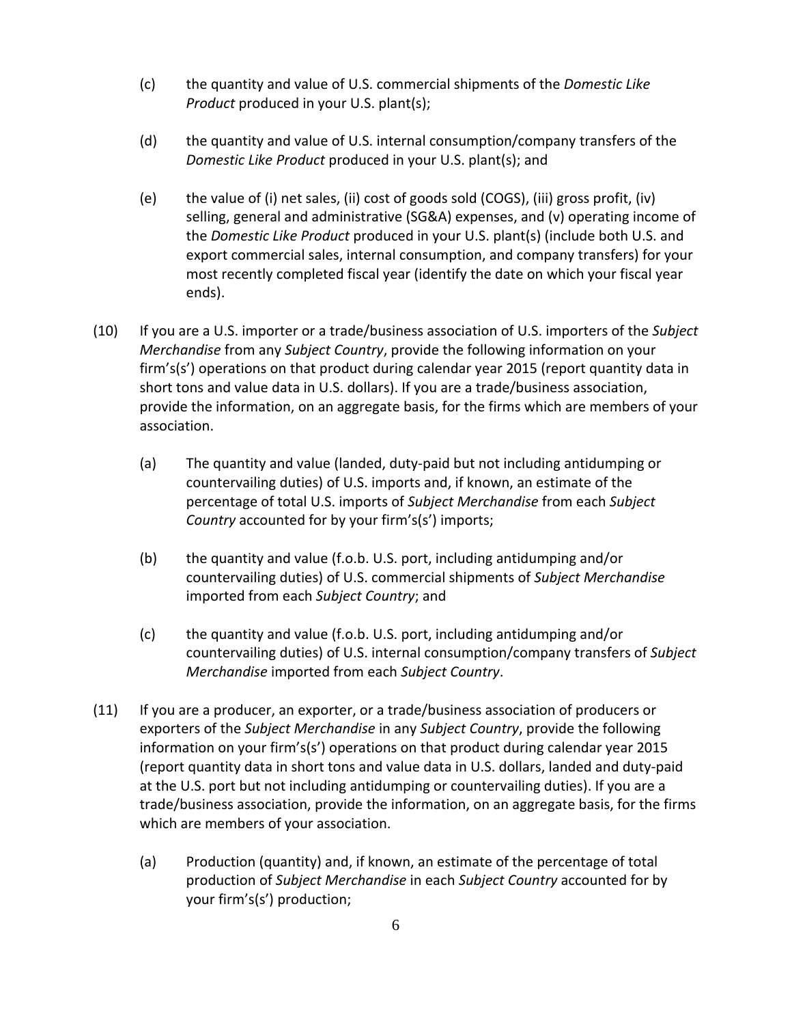- (c) the quantity and value of U.S. commercial shipments of the *Domestic Like Product* produced in your U.S. plant(s);
- (d) the quantity and value of U.S. internal consumption/company transfers of the *Domestic Like Product* produced in your U.S. plant(s); and
- (e) the value of (i) net sales, (ii) cost of goods sold (COGS), (iii) gross profit, (iv) selling, general and administrative (SG&A) expenses, and (v) operating income of the *Domestic Like Product* produced in your U.S. plant(s) (include both U.S. and export commercial sales, internal consumption, and company transfers) for your most recently completed fiscal year (identify the date on which your fiscal year ends).
- (10) If you are a U.S. importer or a trade/business association of U.S. importers of the *Subject Merchandise* from any *Subject Country*, provide the following information on your firm's(s') operations on that product during calendar year 2015 (report quantity data in short tons and value data in U.S. dollars). If you are a trade/business association, provide the information, on an aggregate basis, for the firms which are members of your association.
	- (a) The quantity and value (landed, duty‐paid but not including antidumping or countervailing duties) of U.S. imports and, if known, an estimate of the percentage of total U.S. imports of *Subject Merchandise* from each *Subject Country* accounted for by your firm's(s') imports;
	- (b) the quantity and value (f.o.b. U.S. port, including antidumping and/or countervailing duties) of U.S. commercial shipments of *Subject Merchandise* imported from each *Subject Country*; and
	- (c) the quantity and value (f.o.b. U.S. port, including antidumping and/or countervailing duties) of U.S. internal consumption/company transfers of *Subject Merchandise* imported from each *Subject Country*.
- (11) If you are a producer, an exporter, or a trade/business association of producers or exporters of the *Subject Merchandise* in any *Subject Country*, provide the following information on your firm's(s') operations on that product during calendar year 2015 (report quantity data in short tons and value data in U.S. dollars, landed and duty‐paid at the U.S. port but not including antidumping or countervailing duties). If you are a trade/business association, provide the information, on an aggregate basis, for the firms which are members of your association.
	- (a) Production (quantity) and, if known, an estimate of the percentage of total production of *Subject Merchandise* in each *Subject Country* accounted for by your firm's(s') production;